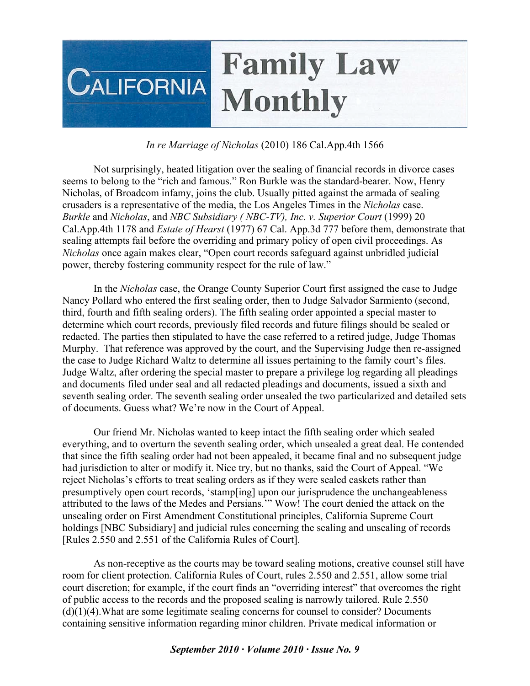## **Family Law CALIFORNIA Monthly**

## *In re Marriage of Nicholas* (2010) 186 Cal.App.4th 1566

Not surprisingly, heated litigation over the sealing of financial records in divorce cases seems to belong to the "rich and famous." Ron Burkle was the standard-bearer. Now, Henry Nicholas, of Broadcom infamy, joins the club. Usually pitted against the armada of sealing crusaders is a representative of the media, the Los Angeles Times in the *Nicholas* case. *Burkle* and *Nicholas*, and *NBC Subsidiary ( NBC-TV), Inc. v. Superior Court* (1999) 20 Cal.App.4th 1178 and *Estate of Hearst* (1977) 67 Cal. App.3d 777 before them, demonstrate that sealing attempts fail before the overriding and primary policy of open civil proceedings. As *Nicholas* once again makes clear, "Open court records safeguard against unbridled judicial power, thereby fostering community respect for the rule of law."

In the *Nicholas* case, the Orange County Superior Court first assigned the case to Judge Nancy Pollard who entered the first sealing order, then to Judge Salvador Sarmiento (second, third, fourth and fifth sealing orders). The fifth sealing order appointed a special master to determine which court records, previously filed records and future filings should be sealed or redacted. The parties then stipulated to have the case referred to a retired judge, Judge Thomas Murphy. That reference was approved by the court, and the Supervising Judge then re-assigned the case to Judge Richard Waltz to determine all issues pertaining to the family court's files. Judge Waltz, after ordering the special master to prepare a privilege log regarding all pleadings and documents filed under seal and all redacted pleadings and documents, issued a sixth and seventh sealing order. The seventh sealing order unsealed the two particularized and detailed sets of documents. Guess what? We're now in the Court of Appeal.

Our friend Mr. Nicholas wanted to keep intact the fifth sealing order which sealed everything, and to overturn the seventh sealing order, which unsealed a great deal. He contended that since the fifth sealing order had not been appealed, it became final and no subsequent judge had jurisdiction to alter or modify it. Nice try, but no thanks, said the Court of Appeal. "We reject Nicholas's efforts to treat sealing orders as if they were sealed caskets rather than presumptively open court records, 'stamp[ing] upon our jurisprudence the unchangeableness attributed to the laws of the Medes and Persians.'" Wow! The court denied the attack on the unsealing order on First Amendment Constitutional principles, California Supreme Court holdings [NBC Subsidiary] and judicial rules concerning the sealing and unsealing of records [Rules 2.550 and 2.551 of the California Rules of Court].

As non-receptive as the courts may be toward sealing motions, creative counsel still have room for client protection. California Rules of Court, rules 2.550 and 2.551, allow some trial court discretion; for example, if the court finds an "overriding interest" that overcomes the right of public access to the records and the proposed sealing is narrowly tailored. Rule 2.550 (d)(1)(4).What are some legitimate sealing concerns for counsel to consider? Documents containing sensitive information regarding minor children. Private medical information or

## *September 2010 · Volume 2010 · Issue No. 9*